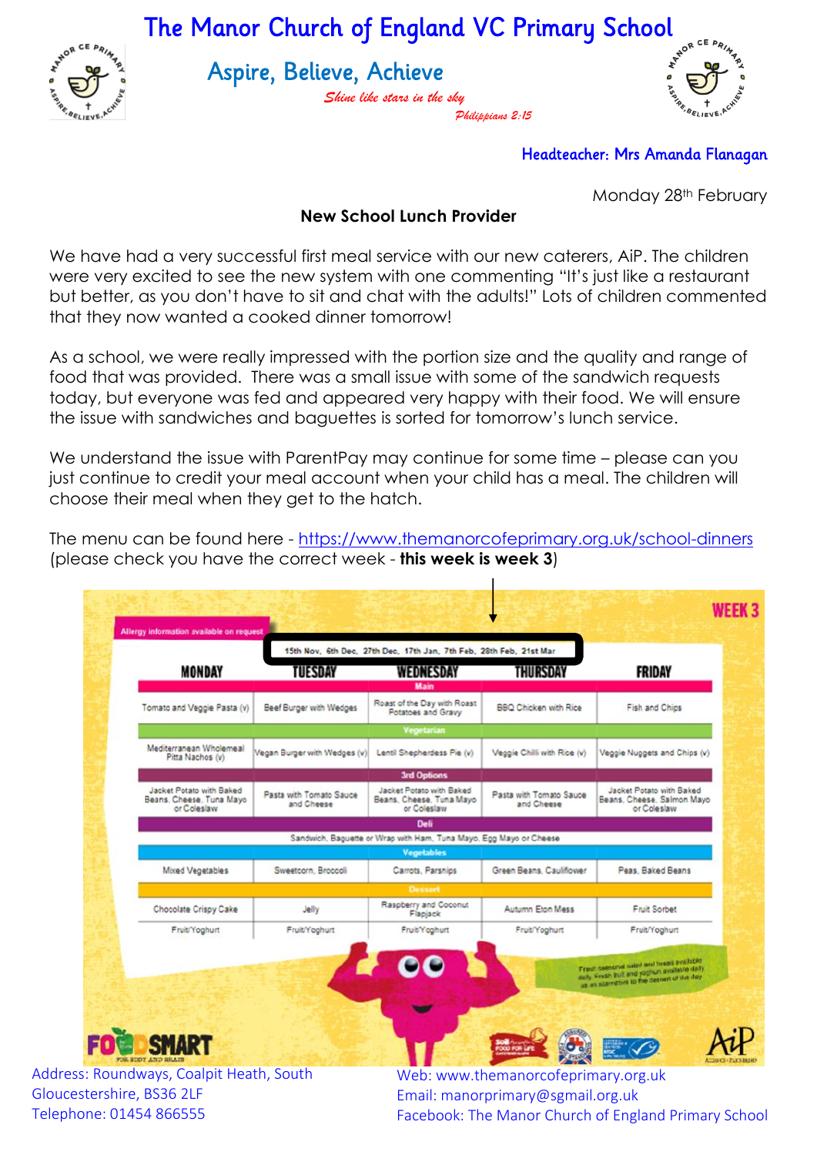

The Manor Church of England VC Primary School

Aspire, Believe, Achieve

*Shine like stars in the sky Philippians 2:15*



## Headteacher: Mrs Amanda Flanagan

Monday 28<sup>th</sup> February

## **New School Lunch Provider**

We have had a very successful first meal service with our new caterers, AiP. The children were very excited to see the new system with one commenting "It's just like a restaurant but better, as you don't have to sit and chat with the adults!" Lots of children commented that they now wanted a cooked dinner tomorrow!

As a school, we were really impressed with the portion size and the quality and range of food that was provided. There was a small issue with some of the sandwich requests today, but everyone was fed and appeared very happy with their food. We will ensure the issue with sandwiches and baguettes is sorted for tomorrow's lunch service.

We understand the issue with ParentPay may continue for some time – please can you just continue to credit your meal account when your child has a meal. The children will choose their meal when they get to the hatch.

The menu can be found here - <https://www.themanorcofeprimary.org.uk/school-dinners> (please check you have the correct week - **this week is week 3**)

 $\mathbf{I}$ 

|                                                                     | 15th Nov, 6th Dec, 27th Dec, 17th Jan, 7th Feb, 28th Feb, 21st Mar |                                                                     |                                       |                                                                                          |
|---------------------------------------------------------------------|--------------------------------------------------------------------|---------------------------------------------------------------------|---------------------------------------|------------------------------------------------------------------------------------------|
| <b>MONDAY</b>                                                       | TUESDAY                                                            | WEDNESDAY                                                           | THURSDAY                              | <b>FRIDAY</b>                                                                            |
| Tomato and Veggie Pasta (v)                                         | Beef Burger with Wedges                                            | <b>Main</b><br>Roast of the Day with Roast<br>Potatoes and Gravy    | <b>BBQ Chicken with Rice</b>          | Fish and Chips                                                                           |
|                                                                     |                                                                    | Vegetarian                                                          |                                       |                                                                                          |
| Mediterranean Wholemeal<br>Pitta Nachos (v)                         | Vegan Burger with Wedges (v)                                       | Lentil Shepherdess Pie (v)                                          | Veggie Chilli with Rice (v)           | Veggie Nuggets and Chips (v)                                                             |
|                                                                     |                                                                    | <b>3rd Options</b>                                                  |                                       |                                                                                          |
| Jacket Potato with Baked<br>Beans, Cheese, Tuna Mayo<br>or Colesiaw | Pasta with Tomato Sauce<br>and Cheese                              | Jacket Potato with Baked<br>Beans, Cheese, Tuna Mayo<br>or Coleslaw | Pasta with Tomato Sauce<br>and Cheese | Jacket Potato with Baked<br>Beans, Cheese, Salmon Mayo<br>or Colesiaw                    |
|                                                                     |                                                                    | <b>Deli</b>                                                         |                                       |                                                                                          |
|                                                                     |                                                                    | Sandwich, Baguette or Wrap with Ham, Tuna Mayo, Egg Mayo or Cheese  |                                       |                                                                                          |
|                                                                     |                                                                    | <b>Vegetables</b>                                                   |                                       |                                                                                          |
| Mixed Vegetables                                                    | Sweetcorn, Broccoli                                                | Carrots, Parsnips                                                   | Green Beans, Cauliflower              | Peas, Baked Beans                                                                        |
|                                                                     |                                                                    | <b>Dessert</b>                                                      |                                       |                                                                                          |
| Chocolate Crispy Cake                                               | Jelly                                                              | Raspberry and Coconut<br>Flagjack                                   | Autumn Eton Mess                      | Fruit Sorbet                                                                             |
| Fruit/Yoghurt                                                       | Fruit/Yoghurt                                                      | Fruit/Yoghurt                                                       | Fruit/Yoghurt                         | Fruit/Yoghurt                                                                            |
|                                                                     |                                                                    |                                                                     |                                       | Fresh caesonal saled and brees evaluates<br>daily. Fresh Bull and yoghun available daily |
|                                                                     |                                                                    |                                                                     |                                       |                                                                                          |
|                                                                     |                                                                    |                                                                     |                                       |                                                                                          |
| ART                                                                 |                                                                    |                                                                     |                                       |                                                                                          |
|                                                                     |                                                                    |                                                                     |                                       |                                                                                          |